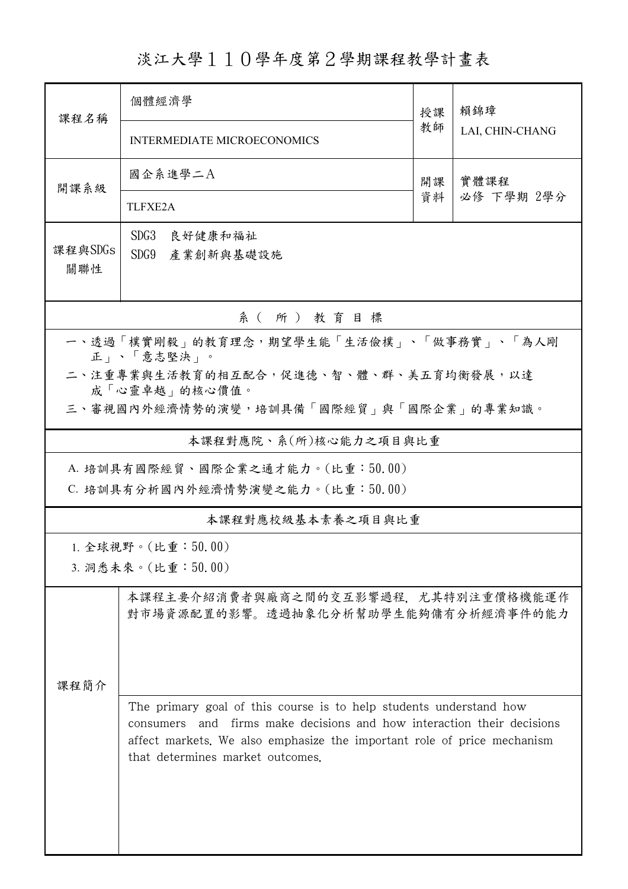淡江大學110學年度第2學期課程教學計畫表

| 課程名稱                                                    | 個體經濟學                                                                                                                                                                                                                                                             |          | 賴錦璋<br>LAI, CHIN-CHANG |  |  |  |  |
|---------------------------------------------------------|-------------------------------------------------------------------------------------------------------------------------------------------------------------------------------------------------------------------------------------------------------------------|----------|------------------------|--|--|--|--|
|                                                         | <b>INTERMEDIATE MICROECONOMICS</b>                                                                                                                                                                                                                                |          |                        |  |  |  |  |
| 開課系級                                                    | 國企系進學二A                                                                                                                                                                                                                                                           | 開課<br>資料 | 實體課程                   |  |  |  |  |
|                                                         | TLFXE2A                                                                                                                                                                                                                                                           |          | 必修 下學期 2學分             |  |  |  |  |
| 課程與SDGs<br>關聯性                                          | SDG3<br>良好健康和福祉<br>SDG9<br>產業創新與基礎設施                                                                                                                                                                                                                              |          |                        |  |  |  |  |
| 系(所)教育目標                                                |                                                                                                                                                                                                                                                                   |          |                        |  |  |  |  |
| 一、透過「樸實剛毅」的教育理念,期望學生能「生活儉樸」、「做事務實」、「為人剛<br>正」、「意志堅決」。   |                                                                                                                                                                                                                                                                   |          |                        |  |  |  |  |
| 二、注重專業與生活教育的相互配合,促進德、智、體、群、美五育均衡發展,以達                   |                                                                                                                                                                                                                                                                   |          |                        |  |  |  |  |
| 成「心靈卓越」的核心價值。<br>三、審視國內外經濟情勢的演變,培訓具備「國際經貿」與「國際企業」的專業知識。 |                                                                                                                                                                                                                                                                   |          |                        |  |  |  |  |
| 本課程對應院、系(所)核心能力之項目與比重                                   |                                                                                                                                                                                                                                                                   |          |                        |  |  |  |  |
| A. 培訓具有國際經貿、國際企業之通才能力。(比重:50.00)                        |                                                                                                                                                                                                                                                                   |          |                        |  |  |  |  |
| C. 培訓具有分析國內外經濟情勢演變之能力。(比重:50.00)                        |                                                                                                                                                                                                                                                                   |          |                        |  |  |  |  |
| 本課程對應校級基本素養之項目與比重                                       |                                                                                                                                                                                                                                                                   |          |                        |  |  |  |  |
| 1. 全球視野。(比重: $50.00$ )<br>3. 洞悉未來。(比重:50.00)            |                                                                                                                                                                                                                                                                   |          |                        |  |  |  |  |
|                                                         | 本課程主要介紹消費者與廠商之間的交互影響過程,尤其特別注重價格機能運作<br>對市場資源配置的影響。透過抽象化分析幫助學生能夠傭有分析經濟事件的能力                                                                                                                                                                                        |          |                        |  |  |  |  |
| 課程簡介                                                    |                                                                                                                                                                                                                                                                   |          |                        |  |  |  |  |
|                                                         | The primary goal of this course is to help students understand how<br>firms make decisions and how interaction their decisions<br>and<br>consumers<br>affect markets. We also emphasize the important role of price mechanism<br>that determines market outcomes. |          |                        |  |  |  |  |
|                                                         |                                                                                                                                                                                                                                                                   |          |                        |  |  |  |  |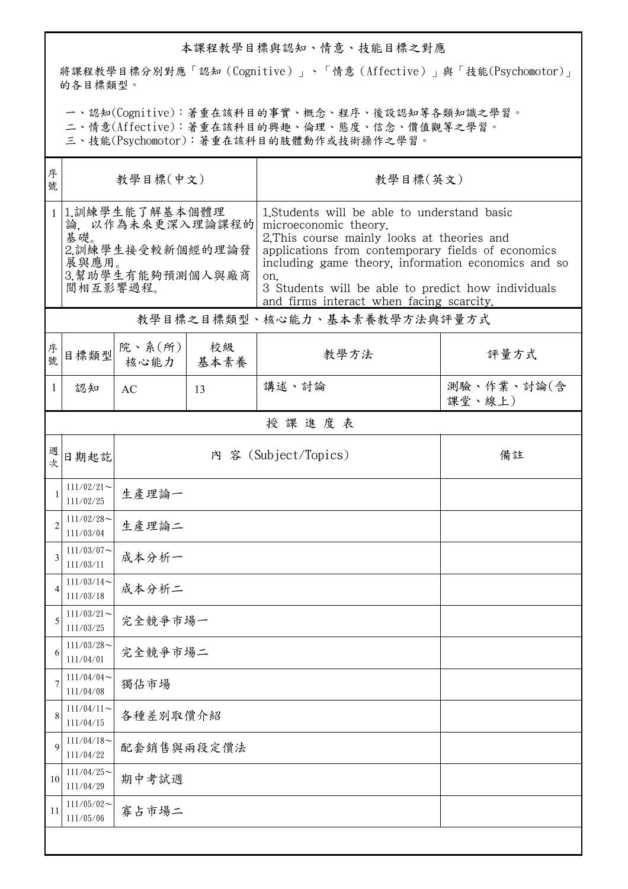## 本課程教學目標與認知、情意、技能目標之對應

將課程教學目標分別對應「認知(Cognitive)」、「情意(Affective)」與「技能(Psychomotor)」 的各目標類型。

一、認知(Cognitive):著重在該科目的事實、概念、程序、後設認知等各類知識之學習。

二、情意(Affective):著重在該科目的興趣、倫理、態度、信念、價值觀等之學習。

三、技能(Psychomotor):著重在該科目的肢體動作或技術操作之學習。

| 序<br>號         | 教學目標(中文)                                                                                              |                                 |    | 教學目標(英文)                                                                                                                                                                                                                                                                                                                                   |                      |  |  |  |
|----------------|-------------------------------------------------------------------------------------------------------|---------------------------------|----|--------------------------------------------------------------------------------------------------------------------------------------------------------------------------------------------------------------------------------------------------------------------------------------------------------------------------------------------|----------------------|--|--|--|
| $\mathbf{1}$   | 1.訓練學生能了解基本個體理<br>論,以作為未來更深入理論課程的<br>基礎。<br>2.訓練學生接受較新個經的理論發<br>展與應用。<br>3.幫助學生有能夠預測個人與廠商<br>間相互影響過程。 |                                 |    | 1. Students will be able to understand basic<br>microeconomic theory.<br>2. This course mainly looks at theories and<br>applications from contemporary fields of economics<br>including game theory, information economics and so<br>on.<br>3 Students will be able to predict how individuals<br>and firms interact when facing scarcity. |                      |  |  |  |
|                | 教學目標之目標類型、核心能力、基本素養教學方法與評量方式                                                                          |                                 |    |                                                                                                                                                                                                                                                                                                                                            |                      |  |  |  |
| 序號             | 目標類型                                                                                                  | 院、系 $(\text{m})$<br>核心能力   基本素養 | 校級 | 教學方法                                                                                                                                                                                                                                                                                                                                       | 評量方式                 |  |  |  |
| 1              | 認知                                                                                                    | AC                              | 13 | 講述、討論                                                                                                                                                                                                                                                                                                                                      | 測驗、作業、討論(含<br>課堂、線上) |  |  |  |
|                | 授課進度表                                                                                                 |                                 |    |                                                                                                                                                                                                                                                                                                                                            |                      |  |  |  |
| 週              | 日期起訖                                                                                                  |                                 |    | 內 容 (Subject/Topics)                                                                                                                                                                                                                                                                                                                       | 備註                   |  |  |  |
|                | $111/02/21$ ~<br>111/02/25                                                                            | 生產理論一                           |    |                                                                                                                                                                                                                                                                                                                                            |                      |  |  |  |
| $\overline{c}$ | $111/02/28$ ~<br>111/03/04                                                                            | 生產理論二                           |    |                                                                                                                                                                                                                                                                                                                                            |                      |  |  |  |
| 3              | $111/03/07$ ~<br>111/03/11                                                                            | 成本分析一                           |    |                                                                                                                                                                                                                                                                                                                                            |                      |  |  |  |
| 4              | $111/03/14$ ~<br>111/03/18                                                                            | 成本分析二                           |    |                                                                                                                                                                                                                                                                                                                                            |                      |  |  |  |
| 5              | $111/03/21$ ~<br>111/03/25                                                                            | 完全競爭市場一                         |    |                                                                                                                                                                                                                                                                                                                                            |                      |  |  |  |
| 6              | $111/03/28$ ~<br>111/04/01                                                                            | 完全競爭市場二                         |    |                                                                                                                                                                                                                                                                                                                                            |                      |  |  |  |
| 7              | $111/04/04$ ~<br>111/04/08                                                                            | 獨佔市場                            |    |                                                                                                                                                                                                                                                                                                                                            |                      |  |  |  |
| 8              | $111/04/11$ ~<br>111/04/15                                                                            | 各種差別取價介紹                        |    |                                                                                                                                                                                                                                                                                                                                            |                      |  |  |  |
| 9              | $111/04/18$ ~<br>111/04/22                                                                            | 配套銷售與兩段定價法                      |    |                                                                                                                                                                                                                                                                                                                                            |                      |  |  |  |
| 10             | $111/04/25$ ~<br>111/04/29                                                                            | 期中考試週                           |    |                                                                                                                                                                                                                                                                                                                                            |                      |  |  |  |
| 11             | $111/05/02$ ~<br>111/05/06                                                                            | 寡占市場二                           |    |                                                                                                                                                                                                                                                                                                                                            |                      |  |  |  |
|                |                                                                                                       |                                 |    |                                                                                                                                                                                                                                                                                                                                            |                      |  |  |  |